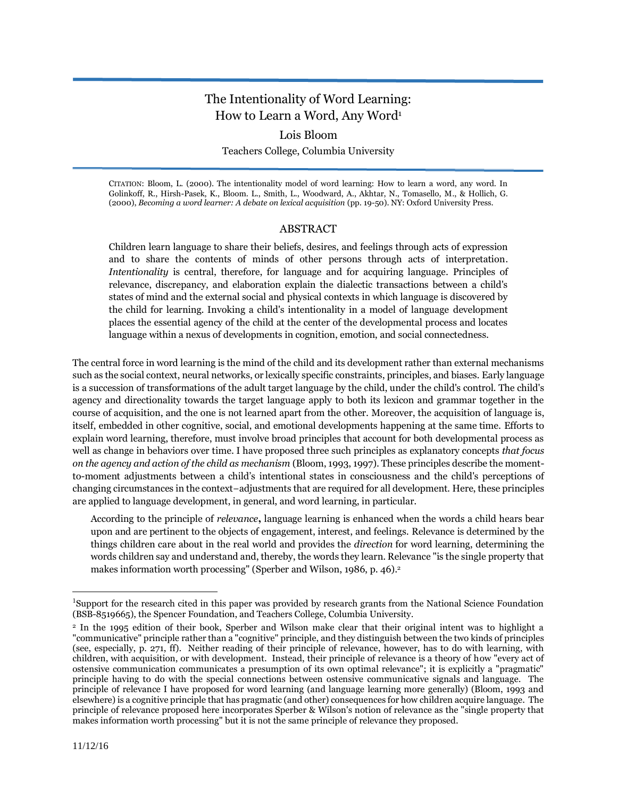# The Intentionality of Word Learning: How to Learn a Word, Any Word<sup>1</sup>

## Lois Bloom

Teachers College, Columbia University

CITATION: Bloom, L. (2000). The intentionality model of word learning: How to learn a word, any word. In Golinkoff, R., Hirsh-Pasek, K., Bloom. L., Smith, L., Woodward, A., Akhtar, N., Tomasello, M., & Hollich, G. (2000), *Becoming a word learner: A debate on lexical acquisition* (pp. 19-50). NY: Oxford University Press.

## ABSTRACT

Children learn language to share their beliefs, desires, and feelings through acts of expression and to share the contents of minds of other persons through acts of interpretation. *Intentionality* is central, therefore, for language and for acquiring language. Principles of relevance, discrepancy, and elaboration explain the dialectic transactions between a child's states of mind and the external social and physical contexts in which language is discovered by the child for learning. Invoking a child's intentionality in a model of language development places the essential agency of the child at the center of the developmental process and locates language within a nexus of developments in cognition, emotion, and social connectedness.

The central force in word learning is the mind of the child and its development rather than external mechanisms such as the social context, neural networks, or lexically specific constraints, principles, and biases. Early language is a succession of transformations of the adult target language by the child, under the child's control. The child's agency and directionality towards the target language apply to both its lexicon and grammar together in the course of acquisition, and the one is not learned apart from the other. Moreover, the acquisition of language is, itself, embedded in other cognitive, social, and emotional developments happening at the same time. Efforts to explain word learning, therefore, must involve broad principles that account for both developmental process as well as change in behaviors over time. I have proposed three such principles as explanatory concepts *that focus on the agency and action of the child as mechanism* (Bloom, 1993, 1997). These principles describe the momentto-moment adjustments between a child's intentional states in consciousness and the child's perceptions of changing circumstances in the context−adjustments that are required for all development. Here, these principles are applied to language development, in general, and word learning, in particular.

According to the principle of *relevance***,** language learning is enhanced when the words a child hears bear upon and are pertinent to the objects of engagement, interest, and feelings. Relevance is determined by the things children care about in the real world and provides the *direction* for word learning, determining the words children say and understand and, thereby, the words they learn. Relevance "is the single property that makes information worth processing" (Sperber and Wilson, 1986, p. 46).<sup>2</sup>

 $\overline{a}$ 

<sup>1</sup>Support for the research cited in this paper was provided by research grants from the National Science Foundation (BSB-8519665), the Spencer Foundation, and Teachers College, Columbia University.

<sup>2</sup> In the 1995 edition of their book, Sperber and Wilson make clear that their original intent was to highlight a "communicative" principle rather than a "cognitive" principle, and they distinguish between the two kinds of principles (see, especially, p. 271, ff). Neither reading of their principle of relevance, however, has to do with learning, with children, with acquisition, or with development. Instead, their principle of relevance is a theory of how "every act of ostensive communication communicates a presumption of its own optimal relevance"; it is explicitly a "pragmatic" principle having to do with the special connections between ostensive communicative signals and language. The principle of relevance I have proposed for word learning (and language learning more generally) (Bloom, 1993 and elsewhere) is a cognitive principle that has pragmatic (and other) consequences for how children acquire language. The principle of relevance proposed here incorporates Sperber & Wilson's notion of relevance as the "single property that makes information worth processing" but it is not the same principle of relevance they proposed.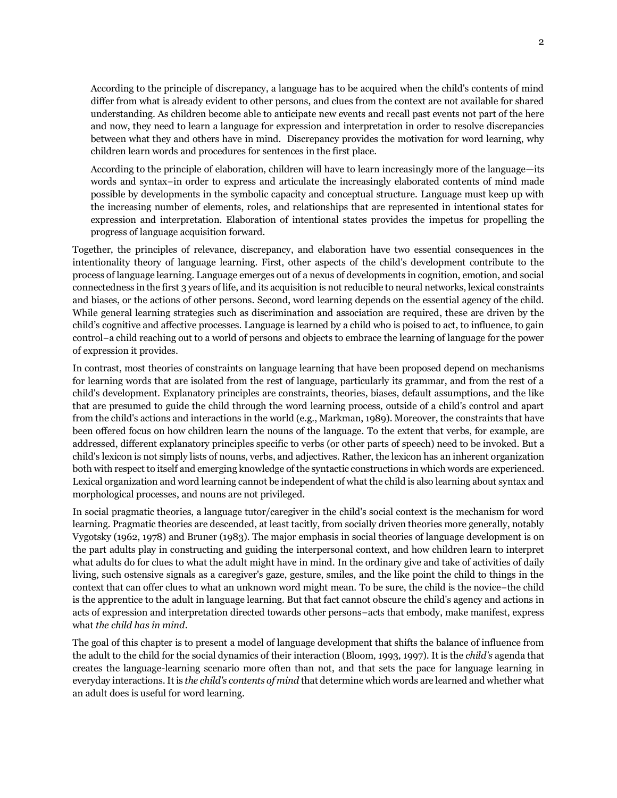According to the principle of discrepancy, a language has to be acquired when the child's contents of mind differ from what is already evident to other persons, and clues from the context are not available for shared understanding. As children become able to anticipate new events and recall past events not part of the here and now, they need to learn a language for expression and interpretation in order to resolve discrepancies between what they and others have in mind. Discrepancy provides the motivation for word learning, why children learn words and procedures for sentences in the first place.

According to the principle of elaboration, children will have to learn increasingly more of the language—its words and syntax−in order to express and articulate the increasingly elaborated contents of mind made possible by developments in the symbolic capacity and conceptual structure. Language must keep up with the increasing number of elements, roles, and relationships that are represented in intentional states for expression and interpretation. Elaboration of intentional states provides the impetus for propelling the progress of language acquisition forward.

Together, the principles of relevance, discrepancy, and elaboration have two essential consequences in the intentionality theory of language learning. First, other aspects of the child's development contribute to the process of language learning. Language emerges out of a nexus of developments in cognition, emotion, and social connectedness in the first 3 years of life, and its acquisition is not reducible to neural networks, lexical constraints and biases, or the actions of other persons. Second, word learning depends on the essential agency of the child. While general learning strategies such as discrimination and association are required, these are driven by the child's cognitive and affective processes. Language is learned by a child who is poised to act, to influence, to gain control−a child reaching out to a world of persons and objects to embrace the learning of language for the power of expression it provides.

In contrast, most theories of constraints on language learning that have been proposed depend on mechanisms for learning words that are isolated from the rest of language, particularly its grammar, and from the rest of a child's development. Explanatory principles are constraints, theories, biases, default assumptions, and the like that are presumed to guide the child through the word learning process, outside of a child's control and apart from the child's actions and interactions in the world (e.g., Markman, 1989). Moreover, the constraints that have been offered focus on how children learn the nouns of the language. To the extent that verbs, for example, are addressed, different explanatory principles specific to verbs (or other parts of speech) need to be invoked. But a child's lexicon is not simply lists of nouns, verbs, and adjectives. Rather, the lexicon has an inherent organization both with respect to itself and emerging knowledge of the syntactic constructions in which words are experienced. Lexical organization and word learning cannot be independent of what the child is also learning about syntax and morphological processes, and nouns are not privileged.

In social pragmatic theories, a language tutor/caregiver in the child's social context is the mechanism for word learning. Pragmatic theories are descended, at least tacitly, from socially driven theories more generally, notably Vygotsky (1962, 1978) and Bruner (1983). The major emphasis in social theories of language development is on the part adults play in constructing and guiding the interpersonal context, and how children learn to interpret what adults do for clues to what the adult might have in mind. In the ordinary give and take of activities of daily living, such ostensive signals as a caregiver's gaze, gesture, smiles, and the like point the child to things in the context that can offer clues to what an unknown word might mean. To be sure, the child is the novice−the child is the apprentice to the adult in language learning. But that fact cannot obscure the child's agency and actions in acts of expression and interpretation directed towards other persons−acts that embody, make manifest, express what *the child has in mind*.

The goal of this chapter is to present a model of language development that shifts the balance of influence from the adult to the child for the social dynamics of their interaction (Bloom, 1993, 1997). It is the *child's* agenda that creates the language-learning scenario more often than not, and that sets the pace for language learning in everyday interactions.It is *the child's contents of mind* that determine which words are learned and whether what an adult does is useful for word learning.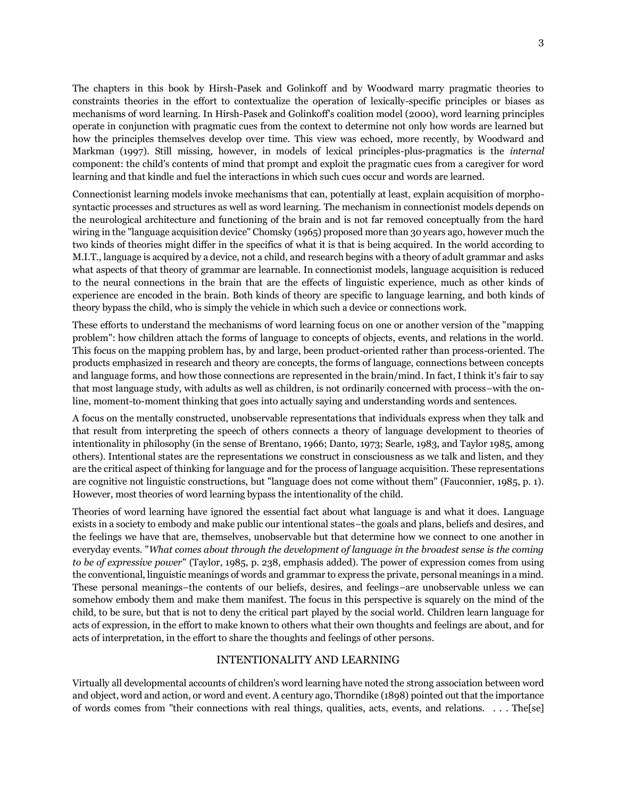The chapters in this book by Hirsh-Pasek and Golinkoff and by Woodward marry pragmatic theories to constraints theories in the effort to contextualize the operation of lexically-specific principles or biases as mechanisms of word learning. In Hirsh-Pasek and Golinkoff's coalition model (2000), word learning principles operate in conjunction with pragmatic cues from the context to determine not only how words are learned but how the principles themselves develop over time. This view was echoed, more recently, by Woodward and Markman (1997). Still missing, however, in models of lexical principles-plus-pragmatics is the *internal* component: the child's contents of mind that prompt and exploit the pragmatic cues from a caregiver for word learning and that kindle and fuel the interactions in which such cues occur and words are learned.

Connectionist learning models invoke mechanisms that can, potentially at least, explain acquisition of morphosyntactic processes and structures as well as word learning. The mechanism in connectionist models depends on the neurological architecture and functioning of the brain and is not far removed conceptually from the hard wiring in the "language acquisition device" Chomsky (1965) proposed more than 30 years ago, however much the two kinds of theories might differ in the specifics of what it is that is being acquired. In the world according to M.I.T., language is acquired by a device, not a child, and research begins with a theory of adult grammar and asks what aspects of that theory of grammar are learnable. In connectionist models, language acquisition is reduced to the neural connections in the brain that are the effects of linguistic experience, much as other kinds of experience are encoded in the brain. Both kinds of theory are specific to language learning, and both kinds of theory bypass the child, who is simply the vehicle in which such a device or connections work.

These efforts to understand the mechanisms of word learning focus on one or another version of the "mapping problem": how children attach the forms of language to concepts of objects, events, and relations in the world. This focus on the mapping problem has, by and large, been product-oriented rather than process-oriented. The products emphasized in research and theory are concepts, the forms of language, connections between concepts and language forms, and how those connections are represented in the brain/mind. In fact, I think it's fair to say that most language study, with adults as well as children, is not ordinarily concerned with process−with the online, moment-to-moment thinking that goes into actually saying and understanding words and sentences.

A focus on the mentally constructed, unobservable representations that individuals express when they talk and that result from interpreting the speech of others connects a theory of language development to theories of intentionality in philosophy (in the sense of Brentano, 1966; Danto, 1973; Searle, 1983, and Taylor 1985, among others). Intentional states are the representations we construct in consciousness as we talk and listen, and they are the critical aspect of thinking for language and for the process of language acquisition. These representations are cognitive not linguistic constructions, but "language does not come without them" (Fauconnier, 1985, p. 1). However, most theories of word learning bypass the intentionality of the child.

Theories of word learning have ignored the essential fact about what language is and what it does. Language exists in a society to embody and make public our intentional states−the goals and plans, beliefs and desires, and the feelings we have that are, themselves, unobservable but that determine how we connect to one another in everyday events. "*What comes about through the development of language in the broadest sense is the coming to be of expressive power*" (Taylor, 1985, p. 238, emphasis added). The power of expression comes from using the conventional, linguistic meanings of words and grammar to express the private, personal meanings in a mind. These personal meanings−the contents of our beliefs, desires, and feelings−are unobservable unless we can somehow embody them and make them manifest. The focus in this perspective is squarely on the mind of the child, to be sure, but that is not to deny the critical part played by the social world. Children learn language for acts of expression, in the effort to make known to others what their own thoughts and feelings are about, and for acts of interpretation, in the effort to share the thoughts and feelings of other persons.

#### INTENTIONALITY AND LEARNING

Virtually all developmental accounts of children's word learning have noted the strong association between word and object, word and action, or word and event. A century ago, Thorndike (1898) pointed out that the importance of words comes from "their connections with real things, qualities, acts, events, and relations. . . . The[se]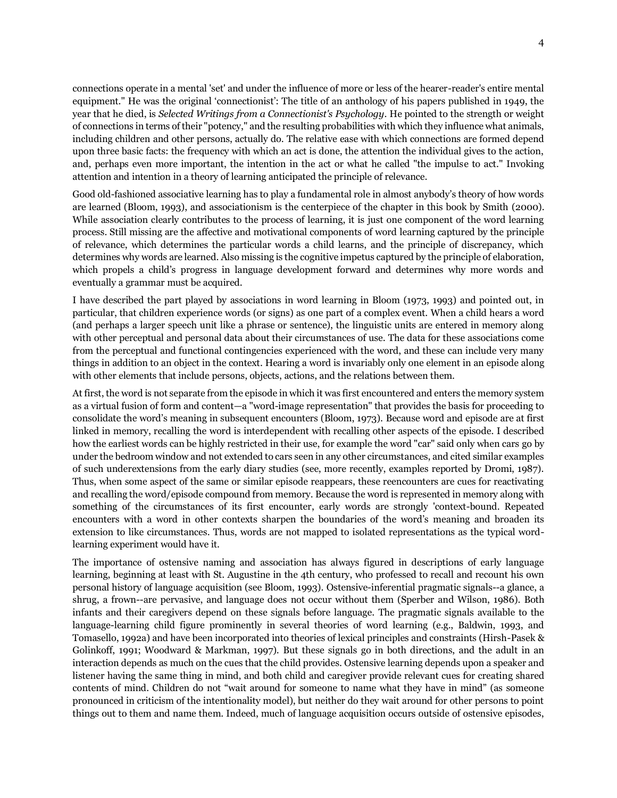connections operate in a mental 'set' and under the influence of more or less of the hearer-reader's entire mental equipment." He was the original 'connectionist': The title of an anthology of his papers published in 1949, the year that he died, is *Selected Writings from a Connectionist's Psychology*. He pointed to the strength or weight of connections in terms of their "potency," and the resulting probabilities with which they influence what animals, including children and other persons, actually do. The relative ease with which connections are formed depend upon three basic facts: the frequency with which an act is done, the attention the individual gives to the action, and, perhaps even more important, the intention in the act or what he called "the impulse to act." Invoking attention and intention in a theory of learning anticipated the principle of relevance.

Good old-fashioned associative learning has to play a fundamental role in almost anybody's theory of how words are learned (Bloom, 1993), and associationism is the centerpiece of the chapter in this book by Smith (2000). While association clearly contributes to the process of learning, it is just one component of the word learning process. Still missing are the affective and motivational components of word learning captured by the principle of relevance, which determines the particular words a child learns, and the principle of discrepancy, which determines why words are learned. Also missing is the cognitive impetus captured by the principle of elaboration, which propels a child's progress in language development forward and determines why more words and eventually a grammar must be acquired.

I have described the part played by associations in word learning in Bloom (1973, 1993) and pointed out, in particular, that children experience words (or signs) as one part of a complex event. When a child hears a word (and perhaps a larger speech unit like a phrase or sentence), the linguistic units are entered in memory along with other perceptual and personal data about their circumstances of use. The data for these associations come from the perceptual and functional contingencies experienced with the word, and these can include very many things in addition to an object in the context. Hearing a word is invariably only one element in an episode along with other elements that include persons, objects, actions, and the relations between them.

At first, the word is not separate from the episode in which it was first encountered and enters the memory system as a virtual fusion of form and content—a "word-image representation" that provides the basis for proceeding to consolidate the word's meaning in subsequent encounters (Bloom, 1973). Because word and episode are at first linked in memory, recalling the word is interdependent with recalling other aspects of the episode. I described how the earliest words can be highly restricted in their use, for example the word "car" said only when cars go by under the bedroom window and not extended to cars seen in any other circumstances, and cited similar examples of such underextensions from the early diary studies (see, more recently, examples reported by Dromi, 1987). Thus, when some aspect of the same or similar episode reappears, these reencounters are cues for reactivating and recalling the word/episode compound from memory. Because the word is represented in memory along with something of the circumstances of its first encounter, early words are strongly 'context-bound. Repeated encounters with a word in other contexts sharpen the boundaries of the word's meaning and broaden its extension to like circumstances. Thus, words are not mapped to isolated representations as the typical wordlearning experiment would have it.

The importance of ostensive naming and association has always figured in descriptions of early language learning, beginning at least with St. Augustine in the 4th century, who professed to recall and recount his own personal history of language acquisition (see Bloom, 1993). Ostensive-inferential pragmatic signals--a glance, a shrug, a frown--are pervasive, and language does not occur without them (Sperber and Wilson, 1986). Both infants and their caregivers depend on these signals before language. The pragmatic signals available to the language-learning child figure prominently in several theories of word learning (e.g., Baldwin, 1993, and Tomasello, 1992a) and have been incorporated into theories of lexical principles and constraints (Hirsh-Pasek & Golinkoff, 1991; Woodward & Markman, 1997). But these signals go in both directions, and the adult in an interaction depends as much on the cues that the child provides. Ostensive learning depends upon a speaker and listener having the same thing in mind, and both child and caregiver provide relevant cues for creating shared contents of mind. Children do not "wait around for someone to name what they have in mind" (as someone pronounced in criticism of the intentionality model), but neither do they wait around for other persons to point things out to them and name them. Indeed, much of language acquisition occurs outside of ostensive episodes,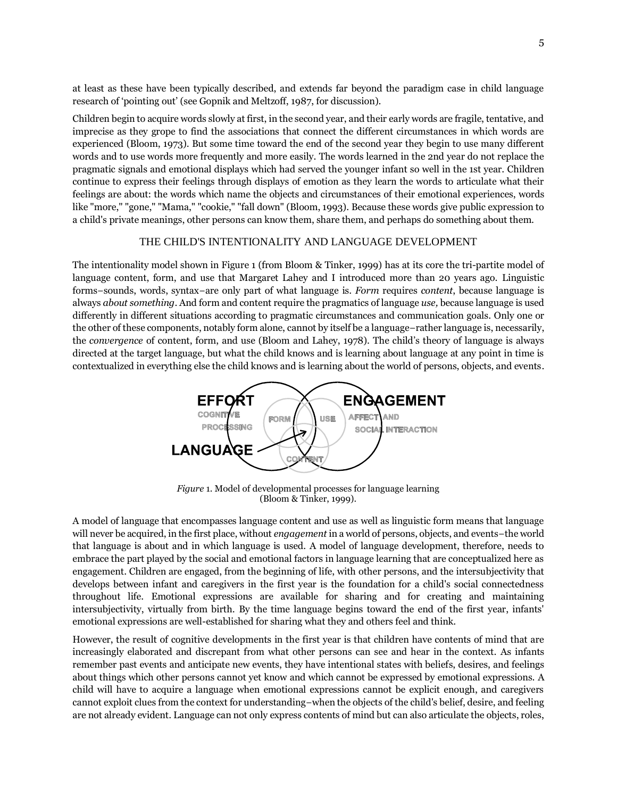at least as these have been typically described, and extends far beyond the paradigm case in child language research of 'pointing out' (see Gopnik and Meltzoff, 1987, for discussion).

Children begin to acquire words slowly at first, in the second year, and their early words are fragile, tentative, and imprecise as they grope to find the associations that connect the different circumstances in which words are experienced (Bloom, 1973). But some time toward the end of the second year they begin to use many different words and to use words more frequently and more easily. The words learned in the 2nd year do not replace the pragmatic signals and emotional displays which had served the younger infant so well in the 1st year. Children continue to express their feelings through displays of emotion as they learn the words to articulate what their feelings are about: the words which name the objects and circumstances of their emotional experiences, words like "more," "gone," "Mama," "cookie," "fall down" (Bloom, 1993). Because these words give public expression to a child's private meanings, other persons can know them, share them, and perhaps do something about them.

#### THE CHILD'S INTENTIONALITY AND LANGUAGE DEVELOPMENT

The intentionality model shown in Figure 1 (from Bloom & Tinker, 1999) has at its core the tri-partite model of language content, form, and use that Margaret Lahey and I introduced more than 20 years ago. Linguistic forms−sounds, words, syntax−are only part of what language is. *Form* requires *content*, because language is always *about something*. And form and content require the pragmatics of language *use,* because language is used differently in different situations according to pragmatic circumstances and communication goals. Only one or the other of these components, notably form alone, cannot by itself be a language−rather language is, necessarily, the *convergence* of content, form, and use (Bloom and Lahey, 1978). The child's theory of language is always directed at the target language, but what the child knows and is learning about language at any point in time is contextualized in everything else the child knows and is learning about the world of persons, objects, and events.



*Figure* 1. Model of developmental processes for language learning (Bloom & Tinker, 1999).

A model of language that encompasses language content and use as well as linguistic form means that language will never be acquired, in the first place, without *engagement* in a world of persons, objects, and events−the world that language is about and in which language is used. A model of language development, therefore, needs to embrace the part played by the social and emotional factors in language learning that are conceptualized here as engagement. Children are engaged, from the beginning of life, with other persons, and the intersubjectivity that develops between infant and caregivers in the first year is the foundation for a child's social connectedness throughout life. Emotional expressions are available for sharing and for creating and maintaining intersubjectivity, virtually from birth. By the time language begins toward the end of the first year, infants' emotional expressions are well-established for sharing what they and others feel and think.

However, the result of cognitive developments in the first year is that children have contents of mind that are increasingly elaborated and discrepant from what other persons can see and hear in the context. As infants remember past events and anticipate new events, they have intentional states with beliefs, desires, and feelings about things which other persons cannot yet know and which cannot be expressed by emotional expressions. A child will have to acquire a language when emotional expressions cannot be explicit enough, and caregivers cannot exploit clues from the context for understanding−when the objects of the child's belief, desire, and feeling are not already evident. Language can not only express contents of mind but can also articulate the objects, roles,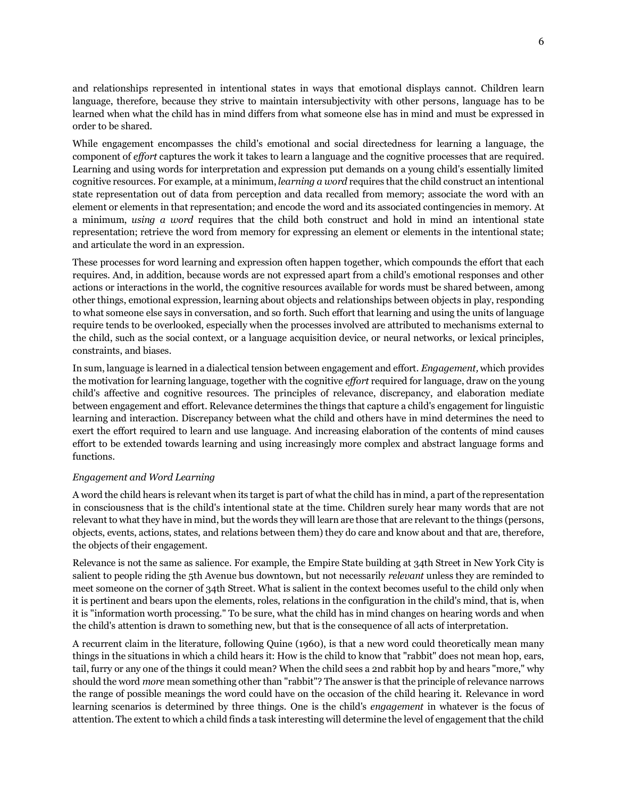and relationships represented in intentional states in ways that emotional displays cannot. Children learn language, therefore, because they strive to maintain intersubjectivity with other persons, language has to be learned when what the child has in mind differs from what someone else has in mind and must be expressed in order to be shared.

While engagement encompasses the child's emotional and social directedness for learning a language, the component of *effort* captures the work it takes to learn a language and the cognitive processes that are required. Learning and using words for interpretation and expression put demands on a young child's essentially limited cognitive resources. For example, at a minimum, *learning a word* requires that the child construct an intentional state representation out of data from perception and data recalled from memory; associate the word with an element or elements in that representation; and encode the word and its associated contingencies in memory. At a minimum, *using a word* requires that the child both construct and hold in mind an intentional state representation; retrieve the word from memory for expressing an element or elements in the intentional state; and articulate the word in an expression.

These processes for word learning and expression often happen together, which compounds the effort that each requires. And, in addition, because words are not expressed apart from a child's emotional responses and other actions or interactions in the world, the cognitive resources available for words must be shared between, among other things, emotional expression, learning about objects and relationships between objects in play, responding to what someone else says in conversation, and so forth. Such effort that learning and using the units of language require tends to be overlooked, especially when the processes involved are attributed to mechanisms external to the child, such as the social context, or a language acquisition device, or neural networks, or lexical principles, constraints, and biases.

In sum, language is learned in a dialectical tension between engagement and effort. *Engagement,* which provides the motivation for learning language, together with the cognitive *effort* required for language, draw on the young child's affective and cognitive resources. The principles of relevance, discrepancy, and elaboration mediate between engagement and effort. Relevance determines the things that capture a child's engagement for linguistic learning and interaction. Discrepancy between what the child and others have in mind determines the need to exert the effort required to learn and use language. And increasing elaboration of the contents of mind causes effort to be extended towards learning and using increasingly more complex and abstract language forms and functions.

#### *Engagement and Word Learning*

A word the child hears is relevant when its target is part of what the child has in mind, a part of the representation in consciousness that is the child's intentional state at the time. Children surely hear many words that are not relevant to what they have in mind, but the words they will learn are those that are relevant to the things (persons, objects, events, actions, states, and relations between them) they do care and know about and that are, therefore, the objects of their engagement.

Relevance is not the same as salience. For example, the Empire State building at 34th Street in New York City is salient to people riding the 5th Avenue bus downtown, but not necessarily *relevant* unless they are reminded to meet someone on the corner of 34th Street. What is salient in the context becomes useful to the child only when it is pertinent and bears upon the elements, roles, relations in the configuration in the child's mind, that is, when it is "information worth processing." To be sure, what the child has in mind changes on hearing words and when the child's attention is drawn to something new, but that is the consequence of all acts of interpretation.

A recurrent claim in the literature, following Quine (1960), is that a new word could theoretically mean many things in the situations in which a child hears it: How is the child to know that "rabbit" does not mean hop, ears, tail, furry or any one of the things it could mean? When the child sees a 2nd rabbit hop by and hears "more," why should the word *more* mean something other than "rabbit"? The answer is that the principle of relevance narrows the range of possible meanings the word could have on the occasion of the child hearing it. Relevance in word learning scenarios is determined by three things. One is the child's *engagement* in whatever is the focus of attention. The extent to which a child finds a task interesting will determine the level of engagement that the child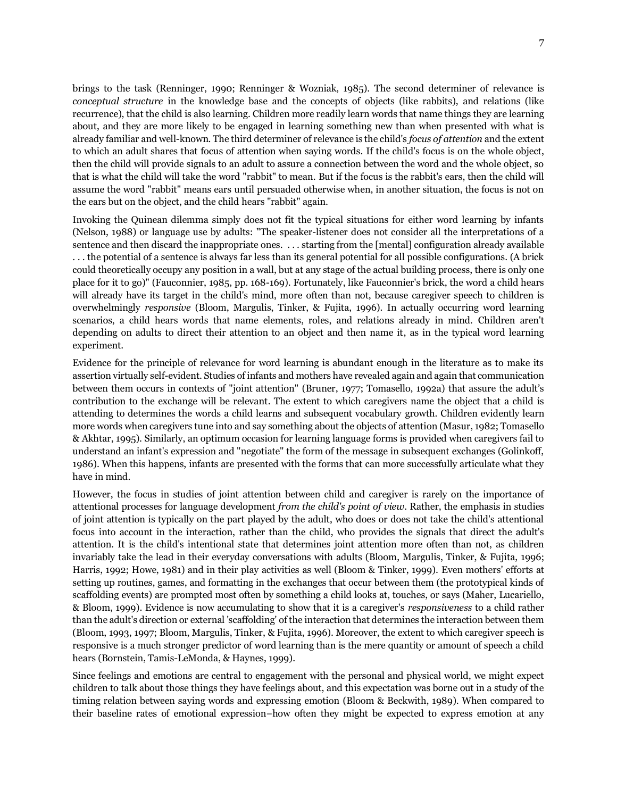brings to the task (Renninger, 1990; Renninger & Wozniak, 1985). The second determiner of relevance is *conceptual structure* in the knowledge base and the concepts of objects (like rabbits), and relations (like recurrence), that the child is also learning. Children more readily learn words that name things they are learning about, and they are more likely to be engaged in learning something new than when presented with what is already familiar and well-known. The third determiner of relevance is the child's *focus of attention* and the extent to which an adult shares that focus of attention when saying words. If the child's focus is on the whole object, then the child will provide signals to an adult to assure a connection between the word and the whole object, so that is what the child will take the word "rabbit" to mean. But if the focus is the rabbit's ears, then the child will assume the word "rabbit" means ears until persuaded otherwise when, in another situation, the focus is not on the ears but on the object, and the child hears "rabbit" again.

Invoking the Quinean dilemma simply does not fit the typical situations for either word learning by infants (Nelson, 1988) or language use by adults: "The speaker-listener does not consider all the interpretations of a sentence and then discard the inappropriate ones. . . . starting from the [mental] configuration already available . . . the potential of a sentence is always far less than its general potential for all possible configurations. (A brick could theoretically occupy any position in a wall, but at any stage of the actual building process, there is only one place for it to go)" (Fauconnier, 1985, pp. 168-169). Fortunately, like Fauconnier's brick, the word a child hears will already have its target in the child's mind, more often than not, because caregiver speech to children is overwhelmingly *responsive* (Bloom, Margulis, Tinker, & Fujita, 1996). In actually occurring word learning scenarios, a child hears words that name elements, roles, and relations already in mind. Children aren't depending on adults to direct their attention to an object and then name it, as in the typical word learning experiment.

Evidence for the principle of relevance for word learning is abundant enough in the literature as to make its assertion virtually self-evident. Studies of infants and mothers have revealed again and again that communication between them occurs in contexts of "joint attention" (Bruner, 1977; Tomasello, 1992a) that assure the adult's contribution to the exchange will be relevant. The extent to which caregivers name the object that a child is attending to determines the words a child learns and subsequent vocabulary growth. Children evidently learn more words when caregivers tune into and say something about the objects of attention (Masur, 1982; Tomasello & Akhtar, 1995). Similarly, an optimum occasion for learning language forms is provided when caregivers fail to understand an infant's expression and "negotiate" the form of the message in subsequent exchanges (Golinkoff, 1986). When this happens, infants are presented with the forms that can more successfully articulate what they have in mind.

However, the focus in studies of joint attention between child and caregiver is rarely on the importance of attentional processes for language development *from the child's point of view*. Rather, the emphasis in studies of joint attention is typically on the part played by the adult, who does or does not take the child's attentional focus into account in the interaction, rather than the child, who provides the signals that direct the adult's attention. It is the child's intentional state that determines joint attention more often than not, as children invariably take the lead in their everyday conversations with adults (Bloom, Margulis, Tinker, & Fujita, 1996; Harris, 1992; Howe, 1981) and in their play activities as well (Bloom & Tinker, 1999). Even mothers' efforts at setting up routines, games, and formatting in the exchanges that occur between them (the prototypical kinds of scaffolding events) are prompted most often by something a child looks at, touches, or says (Maher, Lucariello, & Bloom, 1999). Evidence is now accumulating to show that it is a caregiver's *responsiveness* to a child rather than the adult's direction or external 'scaffolding' of the interaction that determines the interaction between them (Bloom, 1993, 1997; Bloom, Margulis, Tinker, & Fujita, 1996). Moreover, the extent to which caregiver speech is responsive is a much stronger predictor of word learning than is the mere quantity or amount of speech a child hears (Bornstein, Tamis-LeMonda, & Haynes, 1999).

Since feelings and emotions are central to engagement with the personal and physical world, we might expect children to talk about those things they have feelings about, and this expectation was borne out in a study of the timing relation between saying words and expressing emotion (Bloom & Beckwith, 1989). When compared to their baseline rates of emotional expression−how often they might be expected to express emotion at any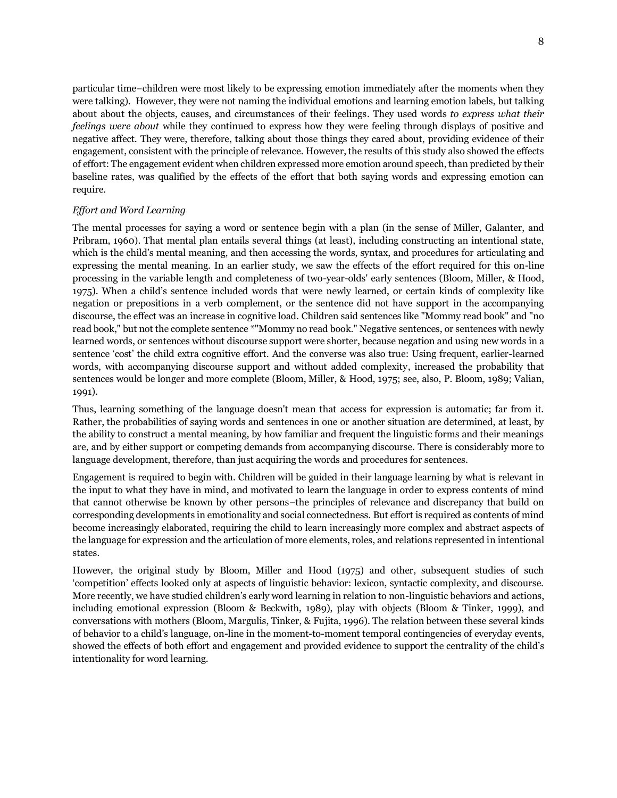particular time−children were most likely to be expressing emotion immediately after the moments when they were talking). However, they were not naming the individual emotions and learning emotion labels, but talking about about the objects, causes, and circumstances of their feelings. They used words *to express what their feelings were about* while they continued to express how they were feeling through displays of positive and negative affect. They were, therefore, talking about those things they cared about, providing evidence of their engagement, consistent with the principle of relevance. However, the results of this study also showed the effects of effort: The engagement evident when children expressed more emotion around speech, than predicted by their baseline rates, was qualified by the effects of the effort that both saying words and expressing emotion can require.

#### *Effort and Word Learning*

The mental processes for saying a word or sentence begin with a plan (in the sense of Miller, Galanter, and Pribram, 1960). That mental plan entails several things (at least), including constructing an intentional state, which is the child's mental meaning, and then accessing the words, syntax, and procedures for articulating and expressing the mental meaning. In an earlier study, we saw the effects of the effort required for this on-line processing in the variable length and completeness of two-year-olds' early sentences (Bloom, Miller, & Hood, 1975). When a child's sentence included words that were newly learned, or certain kinds of complexity like negation or prepositions in a verb complement, or the sentence did not have support in the accompanying discourse, the effect was an increase in cognitive load. Children said sentences like "Mommy read book" and "no read book," but not the complete sentence \*"Mommy no read book." Negative sentences, or sentences with newly learned words, or sentences without discourse support were shorter, because negation and using new words in a sentence 'cost' the child extra cognitive effort. And the converse was also true: Using frequent, earlier-learned words, with accompanying discourse support and without added complexity, increased the probability that sentences would be longer and more complete (Bloom, Miller, & Hood, 1975; see, also, P. Bloom, 1989; Valian, 1991).

Thus, learning something of the language doesn't mean that access for expression is automatic; far from it. Rather, the probabilities of saying words and sentences in one or another situation are determined, at least, by the ability to construct a mental meaning, by how familiar and frequent the linguistic forms and their meanings are, and by either support or competing demands from accompanying discourse. There is considerably more to language development, therefore, than just acquiring the words and procedures for sentences.

Engagement is required to begin with. Children will be guided in their language learning by what is relevant in the input to what they have in mind, and motivated to learn the language in order to express contents of mind that cannot otherwise be known by other persons−the principles of relevance and discrepancy that build on corresponding developments in emotionality and social connectedness. But effort is required as contents of mind become increasingly elaborated, requiring the child to learn increasingly more complex and abstract aspects of the language for expression and the articulation of more elements, roles, and relations represented in intentional states.

However, the original study by Bloom, Miller and Hood (1975) and other, subsequent studies of such 'competition' effects looked only at aspects of linguistic behavior: lexicon, syntactic complexity, and discourse. More recently, we have studied children's early word learning in relation to non-linguistic behaviors and actions, including emotional expression (Bloom & Beckwith, 1989), play with objects (Bloom & Tinker, 1999), and conversations with mothers (Bloom, Margulis, Tinker, & Fujita, 1996). The relation between these several kinds of behavior to a child's language, on-line in the moment-to-moment temporal contingencies of everyday events, showed the effects of both effort and engagement and provided evidence to support the centrality of the child's intentionality for word learning.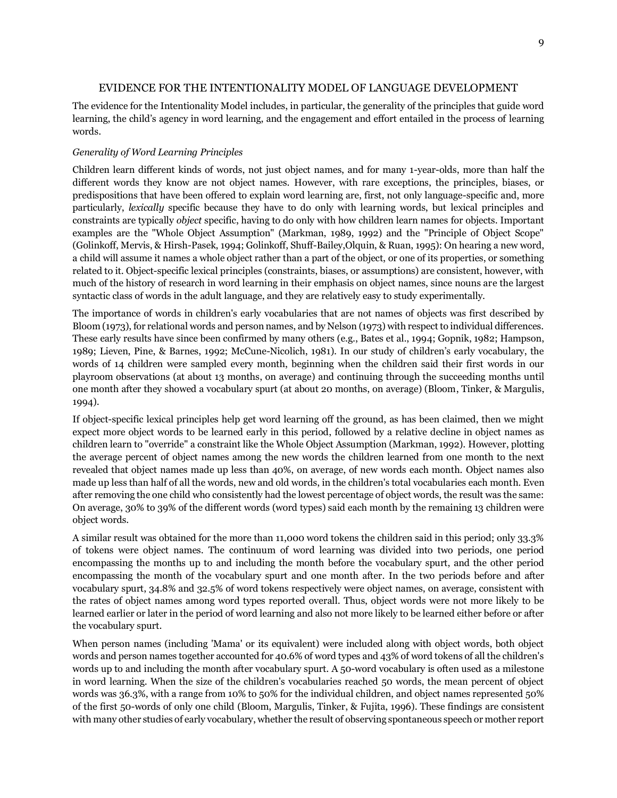## EVIDENCE FOR THE INTENTIONALITY MODEL OF LANGUAGE DEVELOPMENT

The evidence for the Intentionality Model includes, in particular, the generality of the principles that guide word learning, the child's agency in word learning, and the engagement and effort entailed in the process of learning words.

#### *Generality of Word Learning Principles*

Children learn different kinds of words, not just object names, and for many 1-year-olds, more than half the different words they know are not object names. However, with rare exceptions, the principles, biases, or predispositions that have been offered to explain word learning are, first, not only language-specific and, more particularly, *lexically* specific because they have to do only with learning words, but lexical principles and constraints are typically *object* specific, having to do only with how children learn names for objects. Important examples are the "Whole Object Assumption" (Markman, 1989, 1992) and the "Principle of Object Scope" (Golinkoff, Mervis, & Hirsh-Pasek, 1994; Golinkoff, Shuff-Bailey,Olquin, & Ruan, 1995): On hearing a new word, a child will assume it names a whole object rather than a part of the object, or one of its properties, or something related to it. Object-specific lexical principles (constraints, biases, or assumptions) are consistent, however, with much of the history of research in word learning in their emphasis on object names, since nouns are the largest syntactic class of words in the adult language, and they are relatively easy to study experimentally.

The importance of words in children's early vocabularies that are not names of objects was first described by Bloom (1973), for relational words and person names, and by Nelson (1973) with respect to individual differences. These early results have since been confirmed by many others (e.g., Bates et al., 1994; Gopnik, 1982; Hampson, 1989; Lieven, Pine, & Barnes, 1992; McCune-Nicolich, 1981). In our study of children's early vocabulary, the words of 14 children were sampled every month, beginning when the children said their first words in our playroom observations (at about 13 months, on average) and continuing through the succeeding months until one month after they showed a vocabulary spurt (at about 20 months, on average) (Bloom, Tinker, & Margulis, 1994).

If object-specific lexical principles help get word learning off the ground, as has been claimed, then we might expect more object words to be learned early in this period, followed by a relative decline in object names as children learn to "override" a constraint like the Whole Object Assumption (Markman, 1992). However, plotting the average percent of object names among the new words the children learned from one month to the next revealed that object names made up less than 40%, on average, of new words each month. Object names also made up less than half of all the words, new and old words, in the children's total vocabularies each month. Even after removing the one child who consistently had the lowest percentage of object words, the result was the same: On average, 30% to 39% of the different words (word types) said each month by the remaining 13 children were object words.

A similar result was obtained for the more than 11,000 word tokens the children said in this period; only 33.3% of tokens were object names. The continuum of word learning was divided into two periods, one period encompassing the months up to and including the month before the vocabulary spurt, and the other period encompassing the month of the vocabulary spurt and one month after. In the two periods before and after vocabulary spurt, 34.8% and 32.5% of word tokens respectively were object names, on average, consistent with the rates of object names among word types reported overall. Thus, object words were not more likely to be learned earlier or later in the period of word learning and also not more likely to be learned either before or after the vocabulary spurt.

When person names (including 'Mama' or its equivalent) were included along with object words, both object words and person names together accounted for 40.6% of word types and 43% of word tokens of all the children's words up to and including the month after vocabulary spurt. A 50-word vocabulary is often used as a milestone in word learning. When the size of the children's vocabularies reached 50 words, the mean percent of object words was 36.3%, with a range from 10% to 50% for the individual children, and object names represented 50% of the first 50-words of only one child (Bloom, Margulis, Tinker, & Fujita, 1996). These findings are consistent with many other studies of early vocabulary, whether the result of observing spontaneous speech or mother report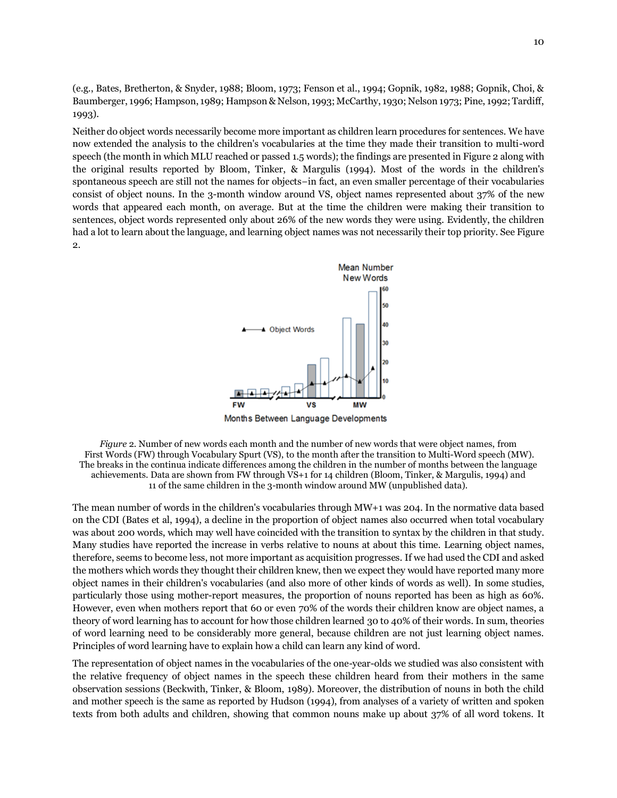(e.g., Bates, Bretherton, & Snyder, 1988; Bloom, 1973; Fenson et al., 1994; Gopnik, 1982, 1988; Gopnik, Choi, & Baumberger, 1996; Hampson, 1989; Hampson & Nelson, 1993; McCarthy, 1930; Nelson 1973; Pine, 1992; Tardiff, 1993).

Neither do object words necessarily become more important as children learn procedures for sentences. We have now extended the analysis to the children's vocabularies at the time they made their transition to multi-word speech (the month in which MLU reached or passed 1.5 words); the findings are presented in Figure 2 along with the original results reported by Bloom, Tinker, & Margulis (1994). Most of the words in the children's spontaneous speech are still not the names for objects−in fact, an even smaller percentage of their vocabularies consist of object nouns. In the 3-month window around VS, object names represented about 37% of the new words that appeared each month, on average. But at the time the children were making their transition to sentences, object words represented only about 26% of the new words they were using. Evidently, the children had a lot to learn about the language, and learning object names was not necessarily their top priority. See Figure 2.



Months Between Language Developments

*Figure* 2. Number of new words each month and the number of new words that were object names, from First Words (FW) through Vocabulary Spurt (VS), to the month after the transition to Multi-Word speech (MW). The breaks in the continua indicate differences among the children in the number of months between the language achievements. Data are shown from FW through VS+1 for 14 children (Bloom, Tinker, & Margulis, 1994) and 11 of the same children in the 3-month window around MW (unpublished data).

The mean number of words in the children's vocabularies through MW+1 was 204. In the normative data based on the CDI (Bates et al, 1994), a decline in the proportion of object names also occurred when total vocabulary was about 200 words, which may well have coincided with the transition to syntax by the children in that study. Many studies have reported the increase in verbs relative to nouns at about this time. Learning object names, therefore, seems to become less, not more important as acquisition progresses. If we had used the CDI and asked the mothers which words they thought their children knew, then we expect they would have reported many more object names in their children's vocabularies (and also more of other kinds of words as well). In some studies, particularly those using mother-report measures, the proportion of nouns reported has been as high as 60%. However, even when mothers report that 60 or even 70% of the words their children know are object names, a theory of word learning has to account for how those children learned 30 to 40% of their words. In sum, theories of word learning need to be considerably more general, because children are not just learning object names. Principles of word learning have to explain how a child can learn any kind of word.

The representation of object names in the vocabularies of the one-year-olds we studied was also consistent with the relative frequency of object names in the speech these children heard from their mothers in the same observation sessions (Beckwith, Tinker, & Bloom, 1989). Moreover, the distribution of nouns in both the child and mother speech is the same as reported by Hudson (1994), from analyses of a variety of written and spoken texts from both adults and children, showing that common nouns make up about 37% of all word tokens. It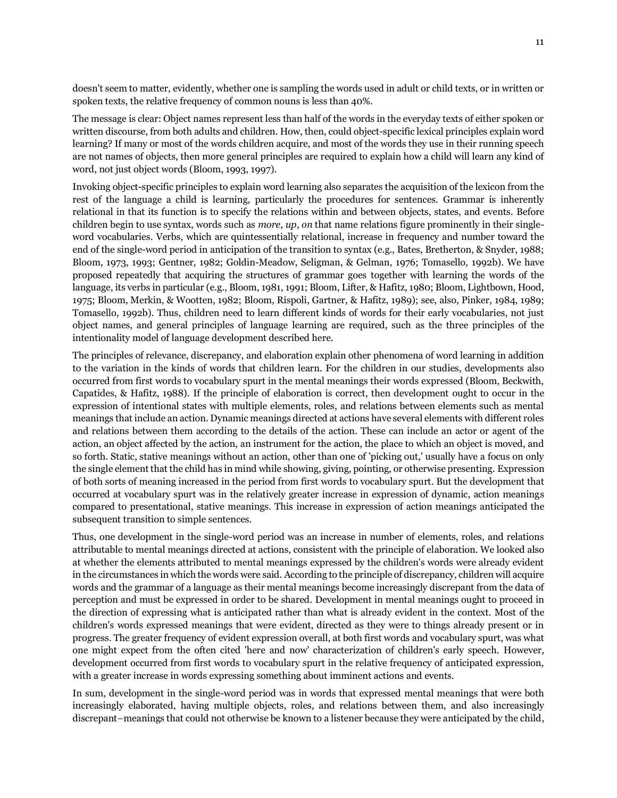doesn't seem to matter, evidently, whether one is sampling the words used in adult or child texts, or in written or spoken texts, the relative frequency of common nouns is less than 40%.

The message is clear: Object names represent less than half of the words in the everyday texts of either spoken or written discourse, from both adults and children. How, then, could object-specific lexical principles explain word learning? If many or most of the words children acquire, and most of the words they use in their running speech are not names of objects, then more general principles are required to explain how a child will learn any kind of word, not just object words (Bloom, 1993, 1997).

Invoking object-specific principles to explain word learning also separates the acquisition of the lexicon from the rest of the language a child is learning, particularly the procedures for sentences. Grammar is inherently relational in that its function is to specify the relations within and between objects, states, and events. Before children begin to use syntax, words such as *more*, *up*, *on* that name relations figure prominently in their singleword vocabularies. Verbs, which are quintessentially relational, increase in frequency and number toward the end of the single-word period in anticipation of the transition to syntax (e.g., Bates, Bretherton, & Snyder, 1988; Bloom, 1973, 1993; Gentner, 1982; Goldin-Meadow, Seligman, & Gelman, 1976; Tomasello, 1992b). We have proposed repeatedly that acquiring the structures of grammar goes together with learning the words of the language, its verbs in particular (e.g., Bloom, 1981, 1991; Bloom, Lifter, & Hafitz, 1980; Bloom, Lightbown, Hood, 1975; Bloom, Merkin, & Wootten, 1982; Bloom, Rispoli, Gartner, & Hafitz, 1989); see, also, Pinker, 1984, 1989; Tomasello, 1992b). Thus, children need to learn different kinds of words for their early vocabularies, not just object names, and general principles of language learning are required, such as the three principles of the intentionality model of language development described here.

The principles of relevance, discrepancy, and elaboration explain other phenomena of word learning in addition to the variation in the kinds of words that children learn. For the children in our studies, developments also occurred from first words to vocabulary spurt in the mental meanings their words expressed (Bloom, Beckwith, Capatides, & Hafitz, 1988). If the principle of elaboration is correct, then development ought to occur in the expression of intentional states with multiple elements, roles, and relations between elements such as mental meanings that include an action. Dynamic meanings directed at actions have several elements with different roles and relations between them according to the details of the action. These can include an actor or agent of the action, an object affected by the action, an instrument for the action, the place to which an object is moved, and so forth. Static, stative meanings without an action, other than one of 'picking out,' usually have a focus on only the single element that the child has in mind while showing, giving, pointing, or otherwise presenting. Expression of both sorts of meaning increased in the period from first words to vocabulary spurt. But the development that occurred at vocabulary spurt was in the relatively greater increase in expression of dynamic, action meanings compared to presentational, stative meanings. This increase in expression of action meanings anticipated the subsequent transition to simple sentences.

Thus, one development in the single-word period was an increase in number of elements, roles, and relations attributable to mental meanings directed at actions, consistent with the principle of elaboration. We looked also at whether the elements attributed to mental meanings expressed by the children's words were already evident in the circumstances in which the words were said. According to the principle of discrepancy, children will acquire words and the grammar of a language as their mental meanings become increasingly discrepant from the data of perception and must be expressed in order to be shared. Development in mental meanings ought to proceed in the direction of expressing what is anticipated rather than what is already evident in the context. Most of the children's words expressed meanings that were evident, directed as they were to things already present or in progress. The greater frequency of evident expression overall, at both first words and vocabulary spurt, was what one might expect from the often cited 'here and now' characterization of children's early speech. However, development occurred from first words to vocabulary spurt in the relative frequency of anticipated expression, with a greater increase in words expressing something about imminent actions and events.

In sum, development in the single-word period was in words that expressed mental meanings that were both increasingly elaborated, having multiple objects, roles, and relations between them, and also increasingly discrepant−meanings that could not otherwise be known to a listener because they were anticipated by the child,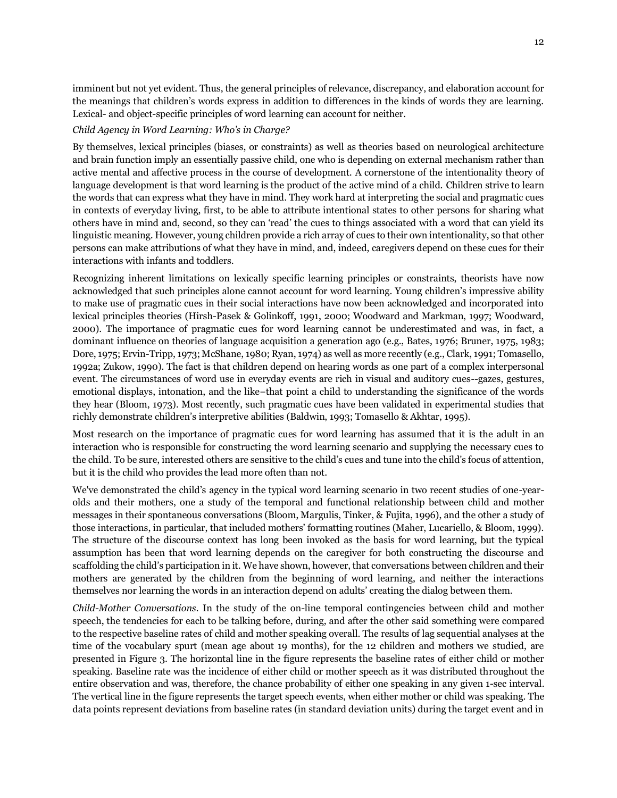imminent but not yet evident. Thus, the general principles of relevance, discrepancy, and elaboration account for the meanings that children's words express in addition to differences in the kinds of words they are learning. Lexical- and object-specific principles of word learning can account for neither.

#### *Child Agency in Word Learning: Who's in Charge?*

By themselves, lexical principles (biases, or constraints) as well as theories based on neurological architecture and brain function imply an essentially passive child, one who is depending on external mechanism rather than active mental and affective process in the course of development. A cornerstone of the intentionality theory of language development is that word learning is the product of the active mind of a child. Children strive to learn the words that can express what they have in mind. They work hard at interpreting the social and pragmatic cues in contexts of everyday living, first, to be able to attribute intentional states to other persons for sharing what others have in mind and, second, so they can 'read' the cues to things associated with a word that can yield its linguistic meaning. However, young children provide a rich array of cues to their own intentionality, so that other persons can make attributions of what they have in mind, and, indeed, caregivers depend on these cues for their interactions with infants and toddlers.

Recognizing inherent limitations on lexically specific learning principles or constraints, theorists have now acknowledged that such principles alone cannot account for word learning. Young children's impressive ability to make use of pragmatic cues in their social interactions have now been acknowledged and incorporated into lexical principles theories (Hirsh-Pasek & Golinkoff, 1991, 2000; Woodward and Markman, 1997; Woodward, 2000). The importance of pragmatic cues for word learning cannot be underestimated and was, in fact, a dominant influence on theories of language acquisition a generation ago (e.g., Bates, 1976; Bruner, 1975, 1983; Dore, 1975; Ervin-Tripp, 1973; McShane, 1980; Ryan, 1974) as well as more recently (e.g., Clark, 1991; Tomasello, 1992a; Zukow, 1990). The fact is that children depend on hearing words as one part of a complex interpersonal event. The circumstances of word use in everyday events are rich in visual and auditory cues--gazes, gestures, emotional displays, intonation, and the like−that point a child to understanding the significance of the words they hear (Bloom, 1973). Most recently, such pragmatic cues have been validated in experimental studies that richly demonstrate children's interpretive abilities (Baldwin, 1993; Tomasello & Akhtar, 1995).

Most research on the importance of pragmatic cues for word learning has assumed that it is the adult in an interaction who is responsible for constructing the word learning scenario and supplying the necessary cues to the child. To be sure, interested others are sensitive to the child's cues and tune into the child's focus of attention, but it is the child who provides the lead more often than not.

We've demonstrated the child's agency in the typical word learning scenario in two recent studies of one-yearolds and their mothers, one a study of the temporal and functional relationship between child and mother messages in their spontaneous conversations (Bloom, Margulis, Tinker, & Fujita, 1996), and the other a study of those interactions, in particular, that included mothers' formatting routines (Maher, Lucariello, & Bloom, 1999). The structure of the discourse context has long been invoked as the basis for word learning, but the typical assumption has been that word learning depends on the caregiver for both constructing the discourse and scaffolding the child's participation in it. We have shown, however, that conversations between children and their mothers are generated by the children from the beginning of word learning, and neither the interactions themselves nor learning the words in an interaction depend on adults' creating the dialog between them.

*Child-Mother Conversations.* In the study of the on-line temporal contingencies between child and mother speech, the tendencies for each to be talking before, during, and after the other said something were compared to the respective baseline rates of child and mother speaking overall. The results of lag sequential analyses at the time of the vocabulary spurt (mean age about 19 months), for the 12 children and mothers we studied, are presented in Figure 3. The horizontal line in the figure represents the baseline rates of either child or mother speaking. Baseline rate was the incidence of either child or mother speech as it was distributed throughout the entire observation and was, therefore, the chance probability of either one speaking in any given 1-sec interval. The vertical line in the figure represents the target speech events, when either mother or child was speaking. The data points represent deviations from baseline rates (in standard deviation units) during the target event and in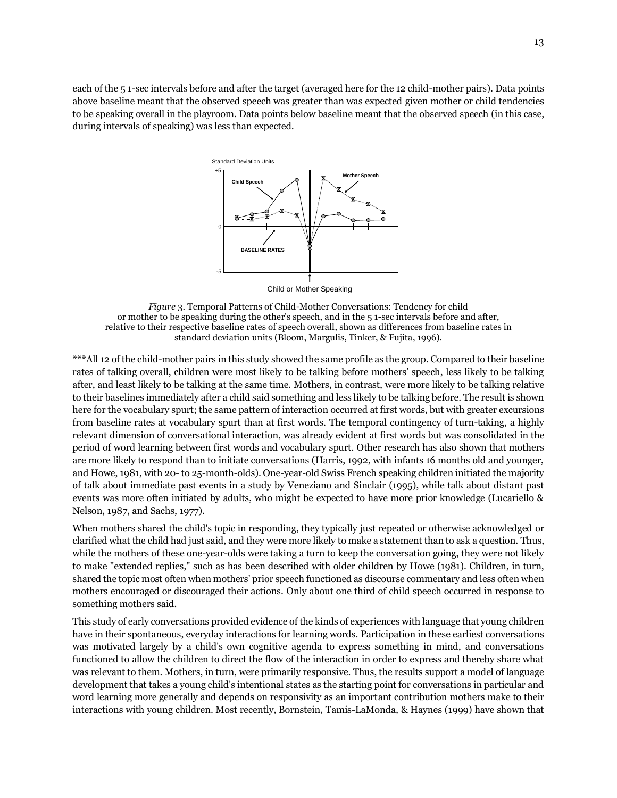each of the 5 1-sec intervals before and after the target (averaged here for the 12 child-mother pairs). Data points above baseline meant that the observed speech was greater than was expected given mother or child tendencies to be speaking overall in the playroom. Data points below baseline meant that the observed speech (in this case, during intervals of speaking) was less than expected.



Child or Mother Speaking

*Figure* 3. Temporal Patterns of Child-Mother Conversations: Tendency for child or mother to be speaking during the other's speech, and in the 5 1-sec intervals before and after, relative to their respective baseline rates of speech overall, shown as differences from baseline rates in standard deviation units (Bloom, Margulis, Tinker, & Fujita, 1996).

\*\*\*All 12 of the child-mother pairs in this study showed the same profile as the group. Compared to their baseline rates of talking overall, children were most likely to be talking before mothers' speech, less likely to be talking after, and least likely to be talking at the same time. Mothers, in contrast, were more likely to be talking relative to their baselines immediately after a child said something and less likely to be talking before. The result is shown here for the vocabulary spurt; the same pattern of interaction occurred at first words, but with greater excursions from baseline rates at vocabulary spurt than at first words. The temporal contingency of turn-taking, a highly relevant dimension of conversational interaction, was already evident at first words but was consolidated in the period of word learning between first words and vocabulary spurt. Other research has also shown that mothers are more likely to respond than to initiate conversations (Harris, 1992, with infants 16 months old and younger, and Howe, 1981, with 20- to 25-month-olds). One-year-old Swiss French speaking children initiated the majority of talk about immediate past events in a study by Veneziano and Sinclair (1995), while talk about distant past events was more often initiated by adults, who might be expected to have more prior knowledge (Lucariello & Nelson, 1987, and Sachs, 1977).

When mothers shared the child's topic in responding, they typically just repeated or otherwise acknowledged or clarified what the child had just said, and they were more likely to make a statement than to ask a question. Thus, while the mothers of these one-year-olds were taking a turn to keep the conversation going, they were not likely to make "extended replies," such as has been described with older children by Howe (1981). Children, in turn, shared the topic most often when mothers' prior speech functioned as discourse commentary and less often when mothers encouraged or discouraged their actions. Only about one third of child speech occurred in response to something mothers said.

This study of early conversations provided evidence of the kinds of experiences with language that young children have in their spontaneous, everyday interactions for learning words. Participation in these earliest conversations was motivated largely by a child's own cognitive agenda to express something in mind, and conversations functioned to allow the children to direct the flow of the interaction in order to express and thereby share what was relevant to them. Mothers, in turn, were primarily responsive. Thus, the results support a model of language development that takes a young child's intentional states as the starting point for conversations in particular and word learning more generally and depends on responsivity as an important contribution mothers make to their interactions with young children. Most recently, Bornstein, Tamis-LaMonda, & Haynes (1999) have shown that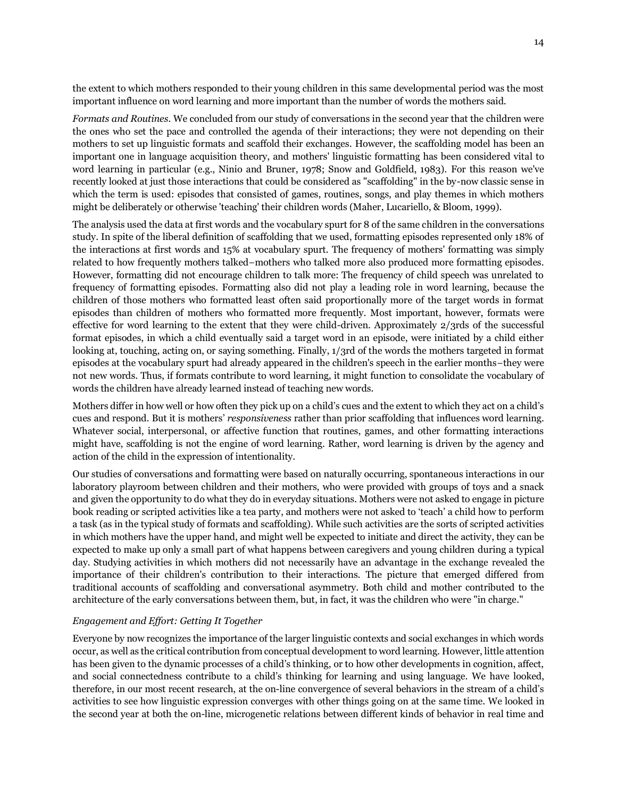the extent to which mothers responded to their young children in this same developmental period was the most important influence on word learning and more important than the number of words the mothers said.

*Formats and Routines.* We concluded from our study of conversations in the second year that the children were the ones who set the pace and controlled the agenda of their interactions; they were not depending on their mothers to set up linguistic formats and scaffold their exchanges. However, the scaffolding model has been an important one in language acquisition theory, and mothers' linguistic formatting has been considered vital to word learning in particular (e.g., Ninio and Bruner, 1978; Snow and Goldfield, 1983). For this reason we've recently looked at just those interactions that could be considered as "scaffolding" in the by-now classic sense in which the term is used: episodes that consisted of games, routines, songs, and play themes in which mothers might be deliberately or otherwise 'teaching' their children words (Maher, Lucariello, & Bloom, 1999).

The analysis used the data at first words and the vocabulary spurt for 8 of the same children in the conversations study. In spite of the liberal definition of scaffolding that we used, formatting episodes represented only 18% of the interactions at first words and 15% at vocabulary spurt. The frequency of mothers' formatting was simply related to how frequently mothers talked−mothers who talked more also produced more formatting episodes. However, formatting did not encourage children to talk more: The frequency of child speech was unrelated to frequency of formatting episodes. Formatting also did not play a leading role in word learning, because the children of those mothers who formatted least often said proportionally more of the target words in format episodes than children of mothers who formatted more frequently. Most important, however, formats were effective for word learning to the extent that they were child-driven. Approximately 2/3rds of the successful format episodes, in which a child eventually said a target word in an episode, were initiated by a child either looking at, touching, acting on, or saying something. Finally, 1/3rd of the words the mothers targeted in format episodes at the vocabulary spurt had already appeared in the children's speech in the earlier months−they were not new words. Thus, if formats contribute to word learning, it might function to consolidate the vocabulary of words the children have already learned instead of teaching new words.

Mothers differ in how well or how often they pick up on a child's cues and the extent to which they act on a child's cues and respond. But it is mothers' *responsiveness* rather than prior scaffolding that influences word learning. Whatever social, interpersonal, or affective function that routines, games, and other formatting interactions might have, scaffolding is not the engine of word learning. Rather, word learning is driven by the agency and action of the child in the expression of intentionality.

Our studies of conversations and formatting were based on naturally occurring, spontaneous interactions in our laboratory playroom between children and their mothers, who were provided with groups of toys and a snack and given the opportunity to do what they do in everyday situations. Mothers were not asked to engage in picture book reading or scripted activities like a tea party, and mothers were not asked to 'teach' a child how to perform a task (as in the typical study of formats and scaffolding). While such activities are the sorts of scripted activities in which mothers have the upper hand, and might well be expected to initiate and direct the activity, they can be expected to make up only a small part of what happens between caregivers and young children during a typical day. Studying activities in which mothers did not necessarily have an advantage in the exchange revealed the importance of their children's contribution to their interactions. The picture that emerged differed from traditional accounts of scaffolding and conversational asymmetry. Both child and mother contributed to the architecture of the early conversations between them, but, in fact, it was the children who were "in charge."

### *Engagement and Effort: Getting It Together*

Everyone by now recognizes the importance of the larger linguistic contexts and social exchanges in which words occur, as well as the critical contribution from conceptual development to word learning. However, little attention has been given to the dynamic processes of a child's thinking, or to how other developments in cognition, affect, and social connectedness contribute to a child's thinking for learning and using language. We have looked, therefore, in our most recent research, at the on-line convergence of several behaviors in the stream of a child's activities to see how linguistic expression converges with other things going on at the same time. We looked in the second year at both the on-line, microgenetic relations between different kinds of behavior in real time and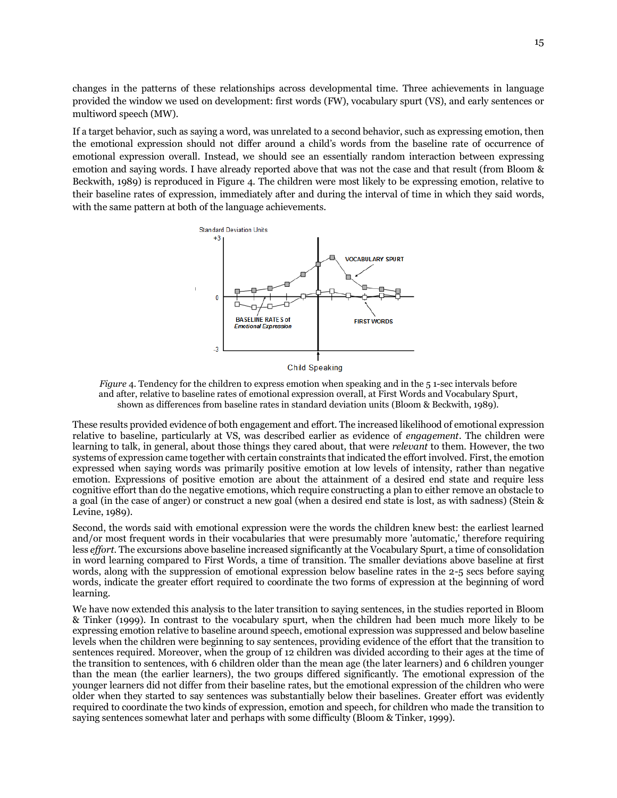changes in the patterns of these relationships across developmental time. Three achievements in language provided the window we used on development: first words (FW), vocabulary spurt (VS), and early sentences or multiword speech (MW).

If a target behavior, such as saying a word, was unrelated to a second behavior, such as expressing emotion, then the emotional expression should not differ around a child's words from the baseline rate of occurrence of emotional expression overall. Instead, we should see an essentially random interaction between expressing emotion and saying words. I have already reported above that was not the case and that result (from Bloom & Beckwith, 1989) is reproduced in Figure 4. The children were most likely to be expressing emotion, relative to their baseline rates of expression, immediately after and during the interval of time in which they said words, with the same pattern at both of the language achievements.



*Figure* 4. Tendency for the children to express emotion when speaking and in the 51-sec intervals before and after, relative to baseline rates of emotional expression overall, at First Words and Vocabulary Spurt, shown as differences from baseline rates in standard deviation units (Bloom & Beckwith, 1989).

These results provided evidence of both engagement and effort. The increased likelihood of emotional expression relative to baseline, particularly at VS, was described earlier as evidence of *engagement*. The children were learning to talk, in general, about those things they cared about, that were *relevant* to them. However, the two systems of expression came together with certain constraints that indicated the effort involved. First, the emotion expressed when saying words was primarily positive emotion at low levels of intensity, rather than negative emotion. Expressions of positive emotion are about the attainment of a desired end state and require less cognitive effort than do the negative emotions, which require constructing a plan to either remove an obstacle to a goal (in the case of anger) or construct a new goal (when a desired end state is lost, as with sadness) (Stein & Levine, 1989).

Second, the words said with emotional expression were the words the children knew best: the earliest learned and/or most frequent words in their vocabularies that were presumably more 'automatic,' therefore requiring less *effort*. The excursions above baseline increased significantly at the Vocabulary Spurt, a time of consolidation in word learning compared to First Words, a time of transition. The smaller deviations above baseline at first words, along with the suppression of emotional expression below baseline rates in the 2-5 secs before saying words, indicate the greater effort required to coordinate the two forms of expression at the beginning of word learning.

We have now extended this analysis to the later transition to saying sentences, in the studies reported in Bloom & Tinker (1999). In contrast to the vocabulary spurt, when the children had been much more likely to be expressing emotion relative to baseline around speech, emotional expression was suppressed and below baseline levels when the children were beginning to say sentences, providing evidence of the effort that the transition to sentences required. Moreover, when the group of 12 children was divided according to their ages at the time of the transition to sentences, with 6 children older than the mean age (the later learners) and 6 children younger than the mean (the earlier learners), the two groups differed significantly. The emotional expression of the younger learners did not differ from their baseline rates, but the emotional expression of the children who were older when they started to say sentences was substantially below their baselines. Greater effort was evidently required to coordinate the two kinds of expression, emotion and speech, for children who made the transition to saying sentences somewhat later and perhaps with some difficulty (Bloom & Tinker, 1999).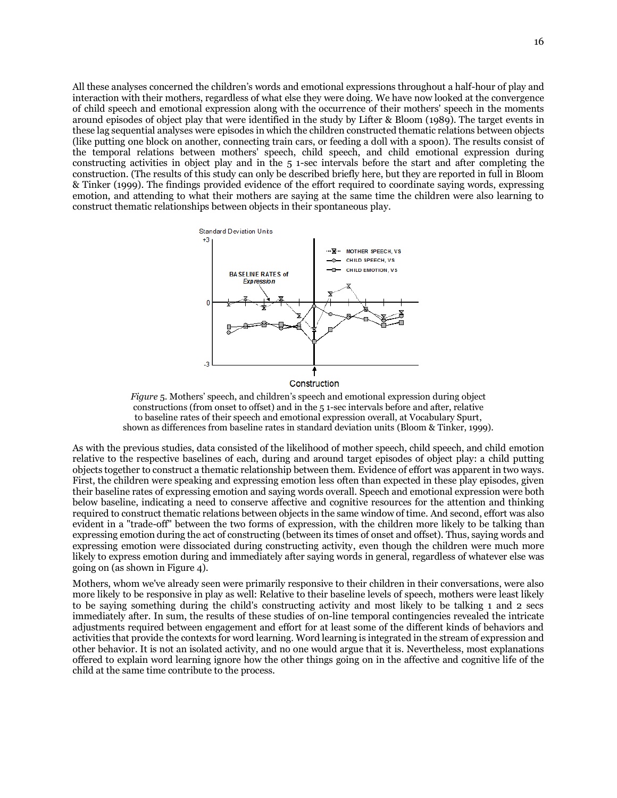All these analyses concerned the children's words and emotional expressions throughout a half-hour of play and interaction with their mothers, regardless of what else they were doing. We have now looked at the convergence of child speech and emotional expression along with the occurrence of their mothers' speech in the moments around episodes of object play that were identified in the study by Lifter & Bloom (1989). The target events in these lag sequential analyses were episodes in which the children constructed thematic relations between objects (like putting one block on another, connecting train cars, or feeding a doll with a spoon). The results consist of the temporal relations between mothers' speech, child speech, and child emotional expression during constructing activities in object play and in the 5 1-sec intervals before the start and after completing the construction. (The results of this study can only be described briefly here, but they are reported in full in Bloom & Tinker (1999). The findings provided evidence of the effort required to coordinate saying words, expressing emotion, and attending to what their mothers are saying at the same time the children were also learning to construct thematic relationships between objects in their spontaneous play.



Construction

*Figure* 5. Mothers' speech, and children's speech and emotional expression during object constructions (from onset to offset) and in the 5 1-sec intervals before and after, relative to baseline rates of their speech and emotional expression overall, at Vocabulary Spurt, shown as differences from baseline rates in standard deviation units (Bloom & Tinker, 1999).

As with the previous studies, data consisted of the likelihood of mother speech, child speech, and child emotion relative to the respective baselines of each, during and around target episodes of object play: a child putting objects together to construct a thematic relationship between them. Evidence of effort was apparent in two ways. First, the children were speaking and expressing emotion less often than expected in these play episodes, given their baseline rates of expressing emotion and saying words overall. Speech and emotional expression were both below baseline, indicating a need to conserve affective and cognitive resources for the attention and thinking required to construct thematic relations between objects in the same window of time. And second, effort was also evident in a "trade-off" between the two forms of expression, with the children more likely to be talking than expressing emotion during the act of constructing (between its times of onset and offset). Thus, saying words and expressing emotion were dissociated during constructing activity, even though the children were much more likely to express emotion during and immediately after saying words in general, regardless of whatever else was going on (as shown in Figure 4).

Mothers, whom we've already seen were primarily responsive to their children in their conversations, were also more likely to be responsive in play as well: Relative to their baseline levels of speech, mothers were least likely to be saying something during the child's constructing activity and most likely to be talking 1 and 2 secs immediately after. In sum, the results of these studies of on-line temporal contingencies revealed the intricate adjustments required between engagement and effort for at least some of the different kinds of behaviors and activities that provide the contexts for word learning. Word learning is integrated in the stream of expression and other behavior. It is not an isolated activity, and no one would argue that it is. Nevertheless, most explanations offered to explain word learning ignore how the other things going on in the affective and cognitive life of the child at the same time contribute to the process.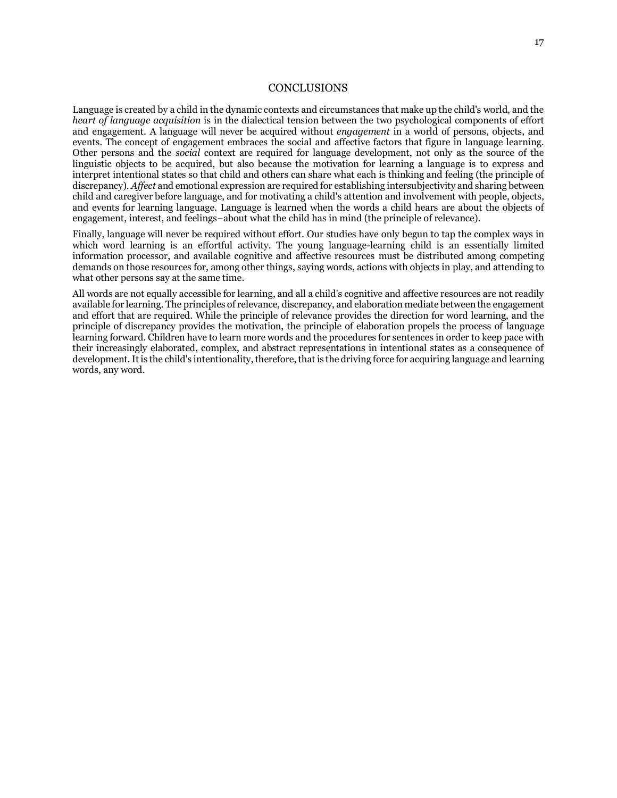### **CONCLUSIONS**

Language is created by a child in the dynamic contexts and circumstances that make up the child's world, and the *heart of language acquisition* is in the dialectical tension between the two psychological components of effort and engagement. A language will never be acquired without *engagement* in a world of persons, objects, and events. The concept of engagement embraces the social and affective factors that figure in language learning. Other persons and the *social* context are required for language development, not only as the source of the linguistic objects to be acquired, but also because the motivation for learning a language is to express and interpret intentional states so that child and others can share what each is thinking and feeling (the principle of discrepancy). *Affect* and emotional expression are required for establishing intersubjectivity and sharing between child and caregiver before language, and for motivating a child's attention and involvement with people, objects, and events for learning language. Language is learned when the words a child hears are about the objects of engagement, interest, and feelings−about what the child has in mind (the principle of relevance).

Finally, language will never be required without effort. Our studies have only begun to tap the complex ways in which word learning is an effortful activity. The young language-learning child is an essentially limited information processor, and available cognitive and affective resources must be distributed among competing demands on those resources for, among other things, saying words, actions with objects in play, and attending to what other persons say at the same time.

All words are not equally accessible for learning, and all a child's cognitive and affective resources are not readily available for learning. The principles of relevance, discrepancy, and elaboration mediate between the engagement and effort that are required. While the principle of relevance provides the direction for word learning, and the principle of discrepancy provides the motivation, the principle of elaboration propels the process of language learning forward. Children have to learn more words and the procedures for sentences in order to keep pace with their increasingly elaborated, complex, and abstract representations in intentional states as a consequence of development.It is the child's intentionality, therefore, that is the driving force for acquiring language and learning words, any word.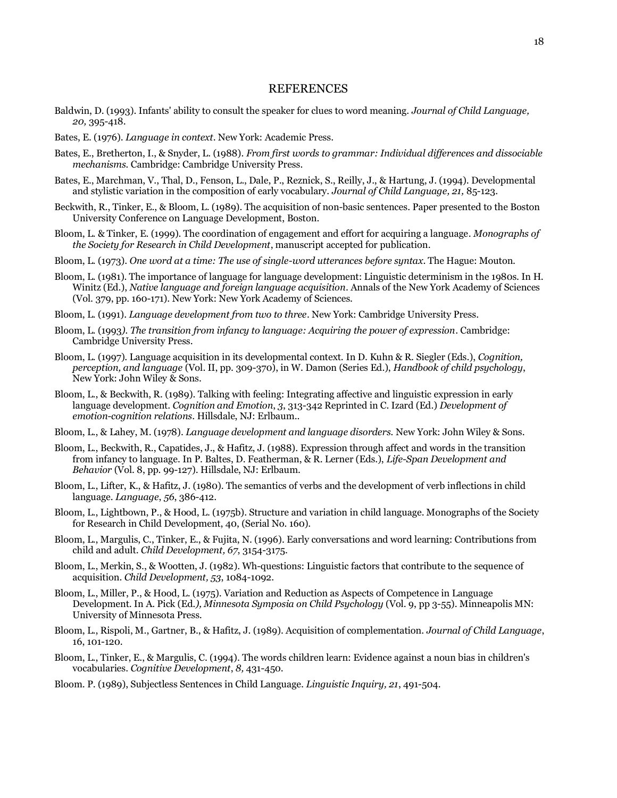### REFERENCES

- Baldwin, D. (1993). Infants' ability to consult the speaker for clues to word meaning. *Journal of Child Language, 20,* 395-418.
- Bates, E. (1976). *Language in context*. New York: Academic Press.
- Bates, E., Bretherton, I., & Snyder, L. (1988). *From first words to grammar: Individual differences and dissociable mechanisms.* Cambridge: Cambridge University Press.
- Bates, E., Marchman, V., Thal, D., Fenson, L., Dale, P., Reznick, S., Reilly, J., & Hartung, J. (1994). Developmental and stylistic variation in the composition of early vocabulary. *Journal of Child Language, 21,* 85-123.
- Beckwith, R., Tinker, E., & Bloom, L. (1989). The acquisition of non-basic sentences. Paper presented to the Boston University Conference on Language Development, Boston.
- Bloom, L. & Tinker, E. (1999). The coordination of engagement and effort for acquiring a language. *Monographs of the Society for Research in Child Development*, manuscript accepted for publication.
- Bloom, L. (1973). *One word at a time: The use of single-word utterances before syntax*. The Hague: Mouton.
- Bloom, L. (1981). The importance of language for language development: Linguistic determinism in the 1980s. In H. Winitz (Ed.), *Native language and foreign language acquisition*. Annals of the New York Academy of Sciences (Vol. 379, pp. 160-171). New York: New York Academy of Sciences.
- Bloom, L. (1991). *Language development from two to three*. New York: Cambridge University Press.
- Bloom, L. (1993*). The transition from infancy to language: Acquiring the power of expression*. Cambridge: Cambridge University Press.
- Bloom, L. (1997). Language acquisition in its developmental context. In D. Kuhn & R. Siegler (Eds.), *Cognition, perception, and language* (Vol. II, pp. 309-370), in W. Damon (Series Ed.), *Handbook of child psychology*, New York: John Wiley & Sons.
- Bloom, L., & Beckwith, R. (1989). Talking with feeling: Integrating affective and linguistic expression in early language development. *Cognition and Emotion*, *3*, 313-342 Reprinted in C. Izard (Ed.) *Development of emotion*-*cognition relations*. Hillsdale, NJ: Erlbaum..
- Bloom, L., & Lahey, M. (1978). *Language development and language disorders.* New York: John Wiley & Sons.
- Bloom, L., Beckwith, R., Capatides, J., & Hafitz, J. (1988). Expression through affect and words in the transition from infancy to language. In P. Baltes, D. Featherman, & R. Lerner (Eds.), *Life-Span Development and Behavior* (Vol. 8, pp. 99-127). Hillsdale, NJ: Erlbaum.
- Bloom, L., Lifter, K., & Hafitz, J. (1980). The semantics of verbs and the development of verb inflections in child language. *Language*, *56*, 386-412.
- Bloom, L., Lightbown, P., & Hood, L. (1975b). Structure and variation in child language. Monographs of the Society for Research in Child Development, 40, (Serial No. 160).
- Bloom, L., Margulis, C., Tinker, E., & Fujita, N. (1996). Early conversations and word learning: Contributions from child and adult. *Child Development, 67*, 3154-3175.
- Bloom, L., Merkin, S., & Wootten, J. (1982). Wh-questions: Linguistic factors that contribute to the sequence of acquisition. *Child Development, 53*, 1084-1092.
- Bloom, L., Miller, P., & Hood, L. (1975). Variation and Reduction as Aspects of Competence in Language Development. In A. Pick (Ed*.), Minnesota Symposia on Child Psychology* (Vol. 9, pp 3-55). Minneapolis MN: University of Minnesota Press.
- Bloom, L., Rispoli, M., Gartner, B., & Hafitz, J. (1989). Acquisition of complementation. *Journal of Child Language*, 16, 101-120.
- Bloom, L., Tinker, E., & Margulis, C. (1994). The words children learn: Evidence against a noun bias in children's vocabularies. *Cognitive Development*, *8,* 431-450.
- Bloom. P. (1989), Subjectless Sentences in Child Language*. Linguistic Inquiry, 21*, 491-504.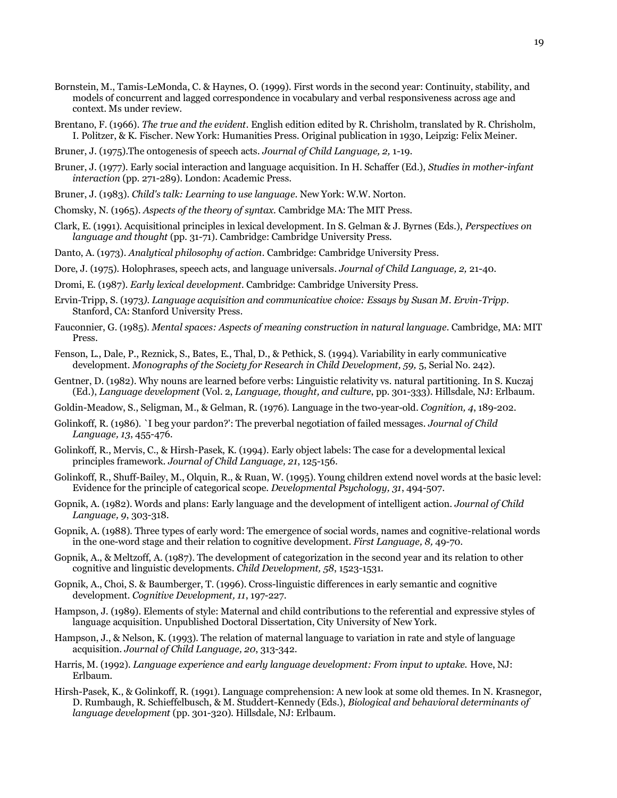- Bornstein, M., Tamis-LeMonda, C. & Haynes, O. (1999). First words in the second year: Continuity, stability, and models of concurrent and lagged correspondence in vocabulary and verbal responsiveness across age and context. Ms under review.
- Brentano, F. (1966). *The true and the evident*. English edition edited by R. Chrisholm, translated by R. Chrisholm, I. Politzer, & K. Fischer. New York: Humanities Press. Original publication in 1930, Leipzig: Felix Meiner.
- Bruner, J. (1975).The ontogenesis of speech acts. *Journal of Child Language, 2,* 1-19.
- Bruner, J. (1977). Early social interaction and language acquisition. In H. Schaffer (Ed.), *Studies in mother-infant interaction* (pp. 271-289). London: Academic Press.
- Bruner, J. (1983). *Child's talk: Learning to use language*. New York: W.W. Norton.
- Chomsky, N. (1965). *Aspects of the theory of syntax.* Cambridge MA: The MIT Press.
- Clark, E. (1991). Acquisitional principles in lexical development. In S. Gelman & J. Byrnes (Eds.), *Perspectives on language and thought* (pp. 31-71). Cambridge: Cambridge University Press.
- Danto, A. (1973). *Analytical philosophy of action*. Cambridge: Cambridge University Press.
- Dore, J. (1975). Holophrases, speech acts, and language universals*. Journal of Child Language, 2,* 21-40.
- Dromi, E. (1987). *Early lexical development*. Cambridge: Cambridge University Press.
- Ervin-Tripp, S. (1973*). Language acquisition and communicative choice: Essays by Susan M. Ervin-Tripp*. Stanford, CA: Stanford University Press.
- Fauconnier, G. (1985). *Mental spaces: Aspects of meaning construction in natural language*. Cambridge, MA: MIT Press.
- Fenson, L., Dale, P., Reznick, S., Bates, E., Thal, D., & Pethick, S. (1994). Variability in early communicative development*. Monographs of the Society for Research in Child Development, 59,* 5, Serial No. 242).
- Gentner, D. (1982). Why nouns are learned before verbs: Linguistic relativity vs. natural partitioning. In S. Kuczaj (Ed.), *Language development* (Vol. 2, *Language, thought, and culture*, pp. 301-333). Hillsdale, NJ: Erlbaum.
- Goldin-Meadow, S., Seligman, M., & Gelman, R. (1976). Language in the two-year-old. *Cognition, 4*, 189-202.
- Golinkoff, R. (1986). `I beg your pardon?': The preverbal negotiation of failed messages. *Journal of Child Language, 13*, 455-476.
- Golinkoff, R., Mervis, C., & Hirsh-Pasek, K. (1994). Early object labels: The case for a developmental lexical principles framework. *Journal of Child Language, 21*, 125-156.
- Golinkoff, R., Shuff-Bailey, M., Olquin, R., & Ruan, W. (1995). Young children extend novel words at the basic level: Evidence for the principle of categorical scope. *Developmental Psychology, 31*, 494-507.
- Gopnik, A. (1982). Words and plans: Early language and the development of intelligent action. *Journal of Child Language, 9*, 303-318.
- Gopnik, A. (1988). Three types of early word: The emergence of social words, names and cognitive-relational words in the one-word stage and their relation to cognitive development. *First Language, 8,* 49-70.
- Gopnik, A., & Meltzoff, A. (1987). The development of categorization in the second year and its relation to other cognitive and linguistic developments. *Child Development, 58*, 1523-1531.
- Gopnik, A., Choi, S. & Baumberger, T. (1996). Cross-linguistic differences in early semantic and cognitive development. *Cognitive Development, 11*, 197-227.
- Hampson, J. (1989). Elements of style: Maternal and child contributions to the referential and expressive styles of language acquisition. Unpublished Doctoral Dissertation, City University of New York.
- Hampson, J., & Nelson, K. (1993). The relation of maternal language to variation in rate and style of language acquisition*. Journal of Child Language, 20*, 313-342.
- Harris, M. (1992). *Language experience and early language development: From input to uptake.* Hove, NJ: Erlbaum.
- Hirsh-Pasek, K., & Golinkoff, R. (1991). Language comprehension: A new look at some old themes. In N. Krasnegor, D. Rumbaugh, R. Schieffelbusch, & M. Studdert-Kennedy (Eds.), *Biological and behavioral determinants of language development* (pp. 301-320). Hillsdale, NJ: Erlbaum.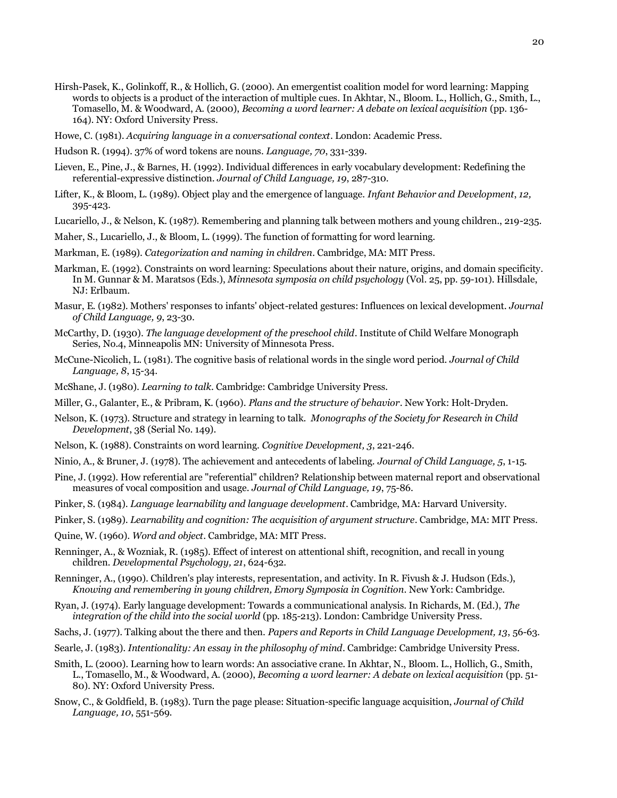20

- Hirsh-Pasek, K., Golinkoff, R., & Hollich, G. (2000). An emergentist coalition model for word learning: Mapping words to objects is a product of the interaction of multiple cues. In Akhtar, N., Bloom. L., Hollich, G., Smith, L., Tomasello, M. & Woodward, A. (2000), *Becoming a word learner: A debate on lexical acquisition* (pp. 136- 164). NY: Oxford University Press.
- Howe, C. (1981). *Acquiring language in a conversational context*. London: Academic Press.
- Hudson R. (1994). 37% of word tokens are nouns. *Language, 70*, 331-339.
- Lieven, E., Pine, J., & Barnes, H. (1992). Individual differences in early vocabulary development: Redefining the referential-expressive distinction. *Journal of Child Language, 19*, 287-310.
- Lifter, K., & Bloom, L. (1989). Object play and the emergence of language. *Infant Behavior and Development*, *12,* 395-423.
- Lucariello, J., & Nelson, K. (1987). Remembering and planning talk between mothers and young children., 219-235.
- Maher, S., Lucariello, J., & Bloom, L. (1999). The function of formatting for word learning.
- Markman, E. (1989). *Categorization and naming in children*. Cambridge, MA: MIT Press.
- Markman, E. (1992). Constraints on word learning: Speculations about their nature, origins, and domain specificity. In M. Gunnar & M. Maratsos (Eds.), *Minnesota symposia on child psychology* (Vol. 25, pp. 59-101). Hillsdale, NJ: Erlbaum.
- Masur, E. (1982). Mothers' responses to infants' object-related gestures: Influences on lexical development. *Journal of Child Language, 9*, 23-30.
- McCarthy, D. (1930). *The language development of the preschool child*. Institute of Child Welfare Monograph Series, No.4, Minneapolis MN: University of Minnesota Press.
- McCune-Nicolich, L. (1981). The cognitive basis of relational words in the single word period. *Journal of Child Language, 8*, 15-34.
- McShane, J. (1980). *Learning to talk*. Cambridge: Cambridge University Press.
- Miller, G., Galanter, E., & Pribram, K. (1960). *Plans and the structure of behavior*. New York: Holt-Dryden.
- Nelson, K. (1973). Structure and strategy in learning to talk. *Monographs of the Society for Research in Child Development*, 38 (Serial No. 149).
- Nelson, K. (1988). Constraints on word learning. *Cognitive Development, 3*, 221-246.
- Ninio, A., & Bruner, J. (1978). The achievement and antecedents of labeling. *Journal of Child Language, 5*, 1-15.
- Pine, J. (1992). How referential are "referential" children? Relationship between maternal report and observational measures of vocal composition and usage. *Journal of Child Language, 19*, 75-86.
- Pinker, S. (1984). *Language learnability and language development*. Cambridge, MA: Harvard University.
- Pinker, S. (1989). *Learnability and cognition: The acquisition of argument structure*. Cambridge, MA: MIT Press.
- Quine, W. (1960). *Word and object*. Cambridge, MA: MIT Press.
- Renninger, A., & Wozniak, R. (1985). Effect of interest on attentional shift, recognition, and recall in young children. *Developmental Psychology, 21*, 624-632.
- Renninger, A., (1990). Children's play interests, representation, and activity. In R. Fivush & J. Hudson (Eds.), *Knowing and remembering in young children, Emory Symposia in Cognition*. New York: Cambridge.
- Ryan, J. (1974). Early language development: Towards a communicational analysis. In Richards, M. (Ed.), *The integration of the child into the social world* (pp. 185-213). London: Cambridge University Press.
- Sachs, J. (1977). Talking about the there and then. *Papers and Reports in Child Language Development, 13*, 56-63.
- Searle, J. (1983). *Intentionality: An essay in the philosophy of mind*. Cambridge: Cambridge University Press.
- Smith, L. (2000). Learning how to learn words: An associative crane. In Akhtar, N., Bloom. L., Hollich, G., Smith, L., Tomasello, M., & Woodward, A. (2000), *Becoming a word learner: A debate on lexical acquisition* (pp. 51- 80). NY: Oxford University Press.
- Snow, C., & Goldfield, B. (1983). Turn the page please: Situation-specific language acquisition, *Journal of Child Language, 10*, 551-569.